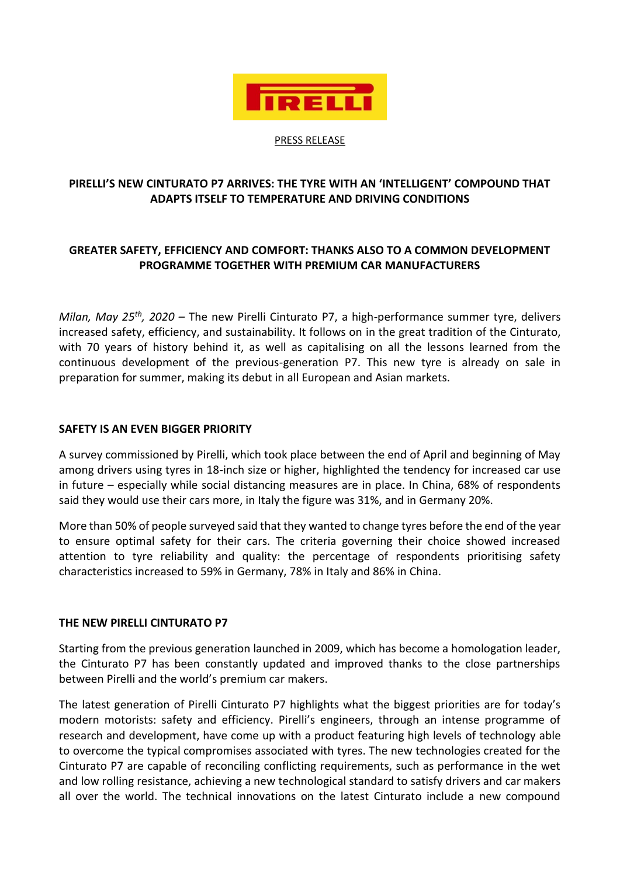

PRESS RELEASE

# **PIRELLI'S NEW CINTURATO P7 ARRIVES: THE TYRE WITH AN 'INTELLIGENT' COMPOUND THAT ADAPTS ITSELF TO TEMPERATURE AND DRIVING CONDITIONS**

# **GREATER SAFETY, EFFICIENCY AND COMFORT: THANKS ALSO TO A COMMON DEVELOPMENT PROGRAMME TOGETHER WITH PREMIUM CAR MANUFACTURERS**

*Milan, May 25th, 2020 –* The new Pirelli Cinturato P7, a high-performance summer tyre, delivers increased safety, efficiency, and sustainability. It follows on in the great tradition of the Cinturato, with 70 years of history behind it, as well as capitalising on all the lessons learned from the continuous development of the previous-generation P7. This new tyre is already on sale in preparation for summer, making its debut in all European and Asian markets.

### **SAFETY IS AN EVEN BIGGER PRIORITY**

A survey commissioned by Pirelli, which took place between the end of April and beginning of May among drivers using tyres in 18-inch size or higher, highlighted the tendency for increased car use in future – especially while social distancing measures are in place. In China, 68% of respondents said they would use their cars more, in Italy the figure was 31%, and in Germany 20%.

More than 50% of people surveyed said that they wanted to change tyres before the end of the year to ensure optimal safety for their cars. The criteria governing their choice showed increased attention to tyre reliability and quality: the percentage of respondents prioritising safety characteristics increased to 59% in Germany, 78% in Italy and 86% in China.

#### **THE NEW PIRELLI CINTURATO P7**

Starting from the previous generation launched in 2009, which has become a homologation leader, the Cinturato P7 has been constantly updated and improved thanks to the close partnerships between Pirelli and the world's premium car makers.

The latest generation of Pirelli Cinturato P7 highlights what the biggest priorities are for today's modern motorists: safety and efficiency. Pirelli's engineers, through an intense programme of research and development, have come up with a product featuring high levels of technology able to overcome the typical compromises associated with tyres. The new technologies created for the Cinturato P7 are capable of reconciling conflicting requirements, such as performance in the wet and low rolling resistance, achieving a new technological standard to satisfy drivers and car makers all over the world. The technical innovations on the latest Cinturato include a new compound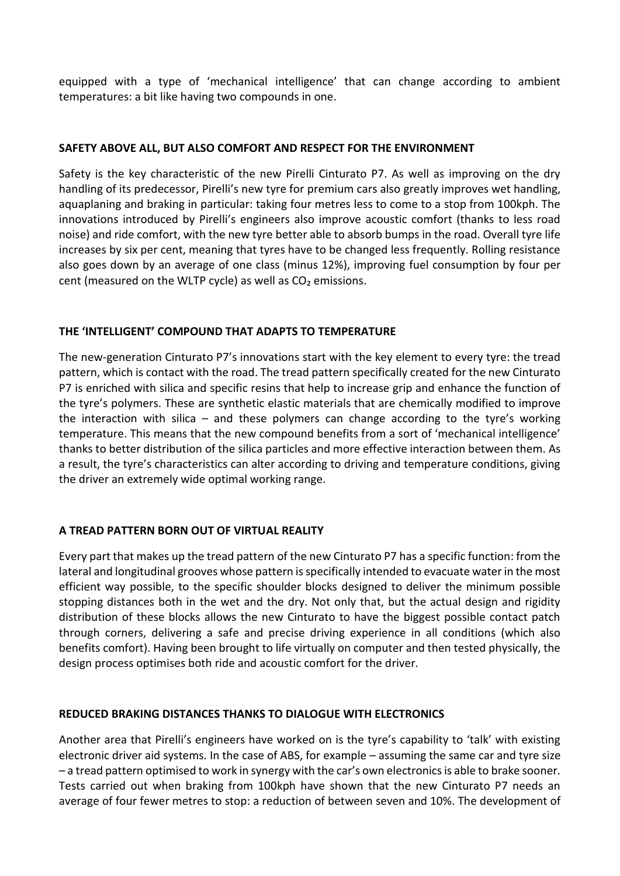equipped with a type of 'mechanical intelligence' that can change according to ambient temperatures: a bit like having two compounds in one.

# **SAFETY ABOVE ALL, BUT ALSO COMFORT AND RESPECT FOR THE ENVIRONMENT**

Safety is the key characteristic of the new Pirelli Cinturato P7. As well as improving on the dry handling of its predecessor, Pirelli's new tyre for premium cars also greatly improves wet handling, aquaplaning and braking in particular: taking four metres less to come to a stop from 100kph. The innovations introduced by Pirelli's engineers also improve acoustic comfort (thanks to less road noise) and ride comfort, with the new tyre better able to absorb bumps in the road. Overall tyre life increases by six per cent, meaning that tyres have to be changed less frequently. Rolling resistance also goes down by an average of one class (minus 12%), improving fuel consumption by four per cent (measured on the WLTP cycle) as well as  $CO<sub>2</sub>$  emissions.

### **THE 'INTELLIGENT' COMPOUND THAT ADAPTS TO TEMPERATURE**

The new-generation Cinturato P7's innovations start with the key element to every tyre: the tread pattern, which is contact with the road. The tread pattern specifically created for the new Cinturato P7 is enriched with silica and specific resins that help to increase grip and enhance the function of the tyre's polymers. These are synthetic elastic materials that are chemically modified to improve the interaction with silica – and these polymers can change according to the tyre's working temperature. This means that the new compound benefits from a sort of 'mechanical intelligence' thanks to better distribution of the silica particles and more effective interaction between them. As a result, the tyre's characteristics can alter according to driving and temperature conditions, giving the driver an extremely wide optimal working range.

# **A TREAD PATTERN BORN OUT OF VIRTUAL REALITY**

Every part that makes up the tread pattern of the new Cinturato P7 has a specific function: from the lateral and longitudinal grooves whose pattern is specifically intended to evacuate water in the most efficient way possible, to the specific shoulder blocks designed to deliver the minimum possible stopping distances both in the wet and the dry. Not only that, but the actual design and rigidity distribution of these blocks allows the new Cinturato to have the biggest possible contact patch through corners, delivering a safe and precise driving experience in all conditions (which also benefits comfort). Having been brought to life virtually on computer and then tested physically, the design process optimises both ride and acoustic comfort for the driver.

#### **REDUCED BRAKING DISTANCES THANKS TO DIALOGUE WITH ELECTRONICS**

Another area that Pirelli's engineers have worked on is the tyre's capability to 'talk' with existing electronic driver aid systems. In the case of ABS, for example – assuming the same car and tyre size – a tread pattern optimised to work in synergy with the car's own electronics is able to brake sooner. Tests carried out when braking from 100kph have shown that the new Cinturato P7 needs an average of four fewer metres to stop: a reduction of between seven and 10%. The development of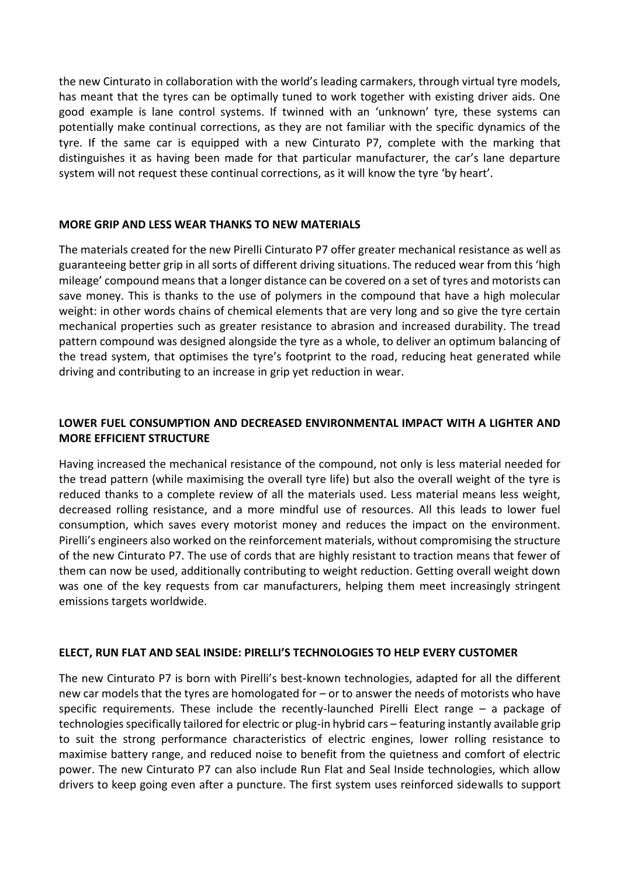the new Cinturato in collaboration with the world's leading carmakers, through virtual tyre models, has meant that the tyres can be optimally tuned to work together with existing driver aids. One good example is lane control systems. If twinned with an 'unknown' tyre, these systems can potentially make continual corrections, as they are not familiar with the specific dynamics of the tyre. If the same car is equipped with a new Cinturato P7, complete with the marking that distinguishes it as having been made for that particular manufacturer, the car's lane departure system will not request these continual corrections, as it will know the tyre 'by heart'.

#### **MORE GRIP AND LESS WEAR THANKS TO NEW MATERIALS**

The materials created for the new Pirelli Cinturato P7 offer greater mechanical resistance as well as guaranteeing better grip in all sorts of different driving situations. The reduced wear from this 'high mileage' compound means that a longer distance can be covered on a set of tyres and motorists can save money. This is thanks to the use of polymers in the compound that have a high molecular weight: in other words chains of chemical elements that are very long and so give the tyre certain mechanical properties such as greater resistance to abrasion and increased durability. The tread pattern compound was designed alongside the tyre as a whole, to deliver an optimum balancing of the tread system, that optimises the tyre's footprint to the road, reducing heat generated while driving and contributing to an increase in grip yet reduction in wear.

# **LOWER FUEL CONSUMPTION AND DECREASED ENVIRONMENTAL IMPACT WITH A LIGHTER AND MORE EFFICIENT STRUCTURE**

Having increased the mechanical resistance of the compound, not only is less material needed for the tread pattern (while maximising the overall tyre life) but also the overall weight of the tyre is reduced thanks to a complete review of all the materials used. Less material means less weight, decreased rolling resistance, and a more mindful use of resources. All this leads to lower fuel consumption, which saves every motorist money and reduces the impact on the environment. Pirelli's engineers also worked on the reinforcement materials, without compromising the structure of the new Cinturato P7. The use of cords that are highly resistant to traction means that fewer of them can now be used, additionally contributing to weight reduction. Getting overall weight down was one of the key requests from car manufacturers, helping them meet increasingly stringent emissions targets worldwide.

# **ELECT, RUN FLAT AND SEAL INSIDE: PIRELLI'S TECHNOLOGIES TO HELP EVERY CUSTOMER**

The new Cinturato P7 is born with Pirelli's best-known technologies, adapted for all the different new car models that the tyres are homologated for – or to answer the needs of motorists who have specific requirements. These include the recently-launched Pirelli Elect range – a package of technologies specifically tailored for electric or plug-in hybrid cars – featuring instantly available grip to suit the strong performance characteristics of electric engines, lower rolling resistance to maximise battery range, and reduced noise to benefit from the quietness and comfort of electric power. The new Cinturato P7 can also include Run Flat and Seal Inside technologies, which allow drivers to keep going even after a puncture. The first system uses reinforced sidewalls to support